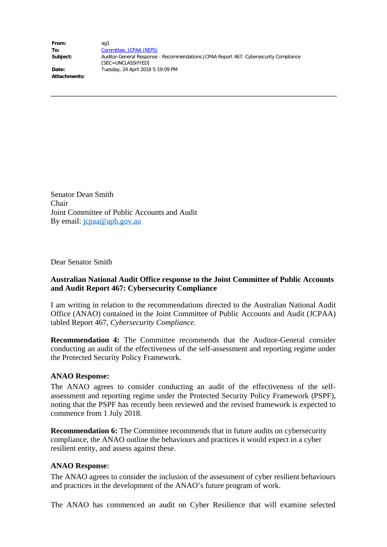**From:** ag1 **To:** Committee, JCPAA (REPS) **Subject:** Auditor-General Response - Recommendations JCPAA Report 467: Cybersecurity Compliance [SEC=UNCLASSIFIED] **Date:** Tuesday, 24 April 2018 5:19:09 PM

**Attachments:**

Senator Dean Smith Chair Joint Committee of Public Accounts and Audit By email: jcpaa@aph.gov.au

Dear Senator Smith

## **Australian National Audit Office response to the Joint Committee of Public Accounts and Audit Report 467: Cybersecurity Compliance**

I am writing in relation to the recommendations directed to the Australian National Audit Office (ANAO) contained in the Joint Committee of Public Accounts and Audit (JCPAA) tabled Report 467, *Cybersecurity Compliance.*

**Recommendation 4:** The Committee recommends that the Auditor-General consider conducting an audit of the effectiveness of the self-assessment and reporting regime under the Protected Security Policy Framework.

## **ANAO Response:**

The ANAO agrees to consider conducting an audit of the effectiveness of the selfassessment and reporting regime under the Protected Security Policy Framework (PSPF), noting that the PSPF has recently been reviewed and the revised framework is expected to commence from 1 July 2018.

**Recommendation 6:** The Committee recommends that in future audits on cybersecurity compliance, the ANAO outline the behaviours and practices it would expect in a cyber resilient entity, and assess against these.

## **ANAO Response:**

The ANAO agrees to consider the inclusion of the assessment of cyber resilient behaviours and practices in the development of the ANAO's future program of work.

The ANAO has commenced an audit on Cyber Resilience that will examine selected